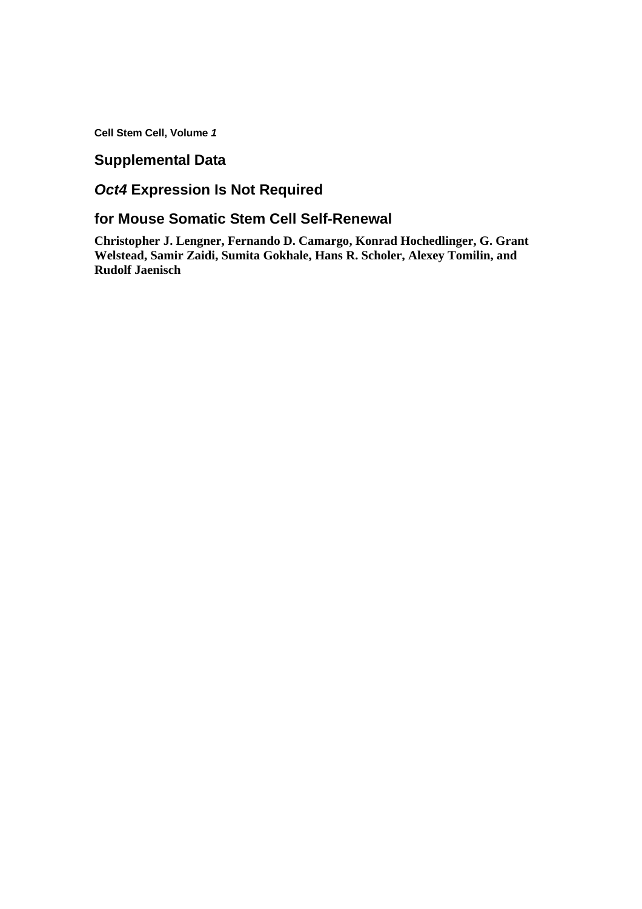**Cell Stem Cell, Volume** *1*

## **Supplemental Data**

# *Oct4* **Expression Is Not Required**

### **for Mouse Somatic Stem Cell Self-Renewal**

**Christopher J. Lengner, Fernando D. Camargo, Konrad Hochedlinger, G. Grant Welstead, Samir Zaidi, Sumita Gokhale, Hans R. Scholer, Alexey Tomilin, and Rudolf Jaenisch**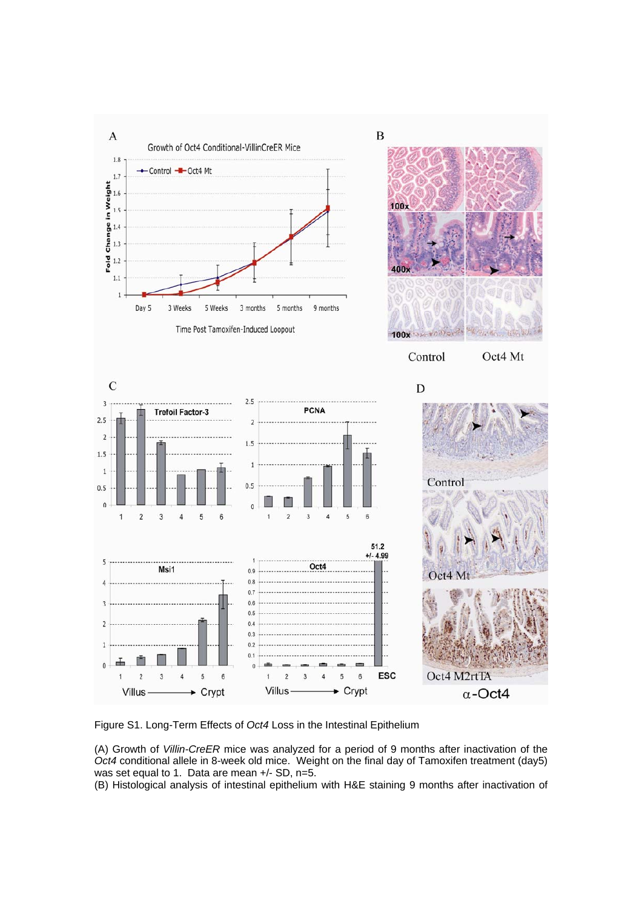

Figure S1. Long-Term Effects of *Oct4* Loss in the Intestinal Epithelium

(A) Growth of *Villin-CreER* mice was analyzed for a period of 9 months after inactivation of the *Oct4* conditional allele in 8-week old mice. Weight on the final day of Tamoxifen treatment (day5) was set equal to 1. Data are mean +/- SD, n=5.

(B) Histological analysis of intestinal epithelium with H&E staining 9 months after inactivation of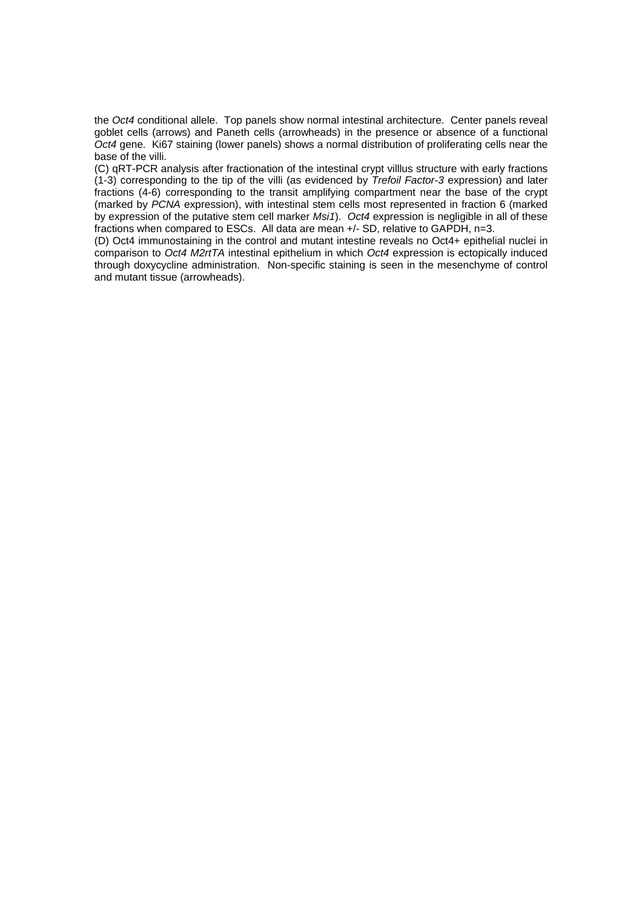the *Oct4* conditional allele. Top panels show normal intestinal architecture. Center panels reveal goblet cells (arrows) and Paneth cells (arrowheads) in the presence or absence of a functional *Oct4* gene*.* Ki67 staining (lower panels) shows a normal distribution of proliferating cells near the base of the villi.

(C) qRT-PCR analysis after fractionation of the intestinal crypt villlus structure with early fractions (1-3) corresponding to the tip of the villi (as evidenced by *Trefoil Factor-3* expression) and later fractions (4-6) corresponding to the transit amplifying compartment near the base of the crypt (marked by *PCNA* expression), with intestinal stem cells most represented in fraction 6 (marked by expression of the putative stem cell marker *Msi1*). *Oct4* expression is negligible in all of these fractions when compared to ESCs. All data are mean +/- SD, relative to GAPDH, n=3.

(D) Oct4 immunostaining in the control and mutant intestine reveals no Oct4+ epithelial nuclei in comparison to *Oct4 M2rtTA* intestinal epithelium in which *Oct4* expression is ectopically induced through doxycycline administration. Non-specific staining is seen in the mesenchyme of control and mutant tissue (arrowheads).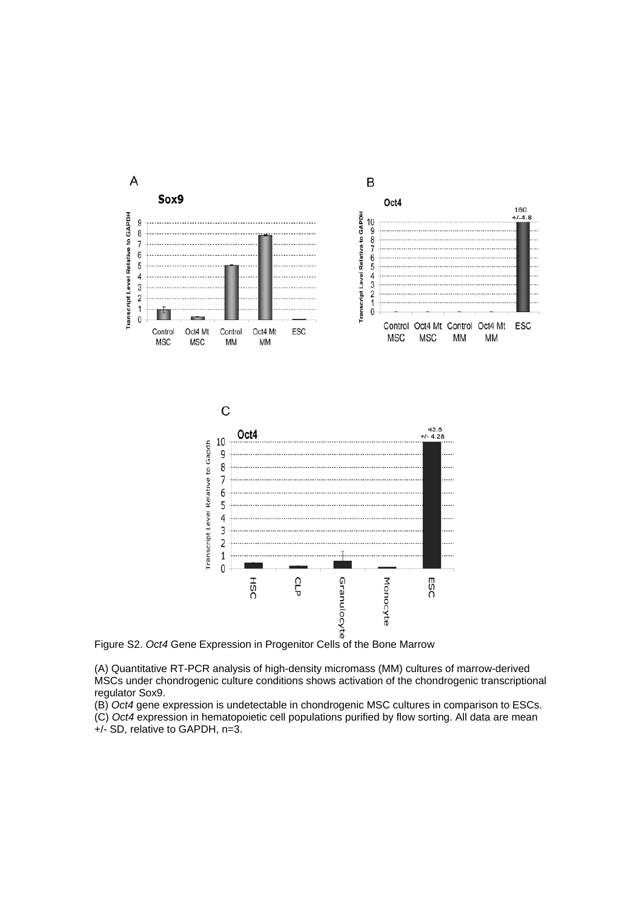

(A) Quantitative RT-PCR analysis of high-density micromass (MM) cultures of marrow-derived MSCs under chondrogenic culture conditions shows activation of the chondrogenic transcriptional regulator Sox9.

(B) *Oct4* gene expression is undetectable in chondrogenic MSC cultures in comparison to ESCs.

(C) *Oct4* expression in hematopoietic cell populations purified by flow sorting. All data are mean +/- SD, relative to GAPDH, n=3.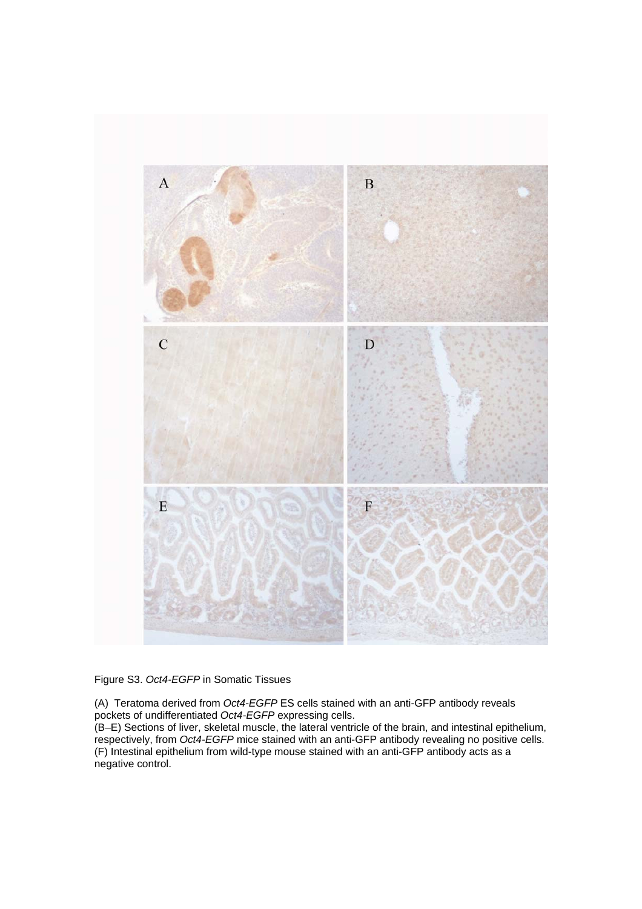

Figure S3. *Oct4-EGFP* in Somatic Tissues

(A) Teratoma derived from *Oct4-EGFP* ES cells stained with an anti-GFP antibody reveals pockets of undifferentiated *Oct4-EGFP* expressing cells.

(B–E) Sections of liver, skeletal muscle, the lateral ventricle of the brain, and intestinal epithelium, respectively, from *Oct4-EGFP* mice stained with an anti-GFP antibody revealing no positive cells. (F) Intestinal epithelium from wild-type mouse stained with an anti-GFP antibody acts as a negative control.